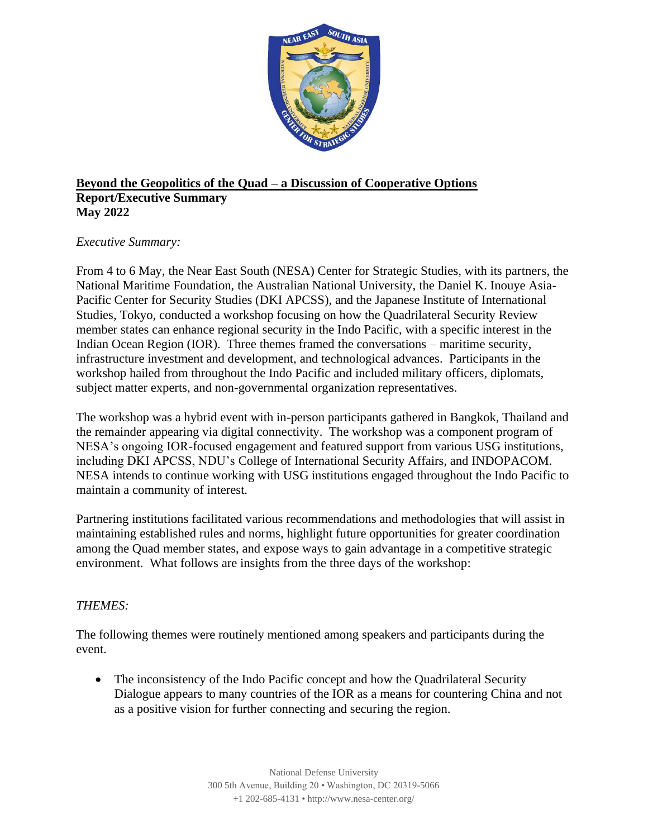

### **Beyond the Geopolitics of the Quad – a Discussion of Cooperative Options Report/Executive Summary May 2022**

# *Executive Summary:*

From 4 to 6 May, the Near East South (NESA) Center for Strategic Studies, with its partners, the National Maritime Foundation, the Australian National University, the Daniel K. Inouye Asia-Pacific Center for Security Studies (DKI APCSS), and the Japanese Institute of International Studies, Tokyo, conducted a workshop focusing on how the Quadrilateral Security Review member states can enhance regional security in the Indo Pacific, with a specific interest in the Indian Ocean Region (IOR). Three themes framed the conversations – maritime security, infrastructure investment and development, and technological advances. Participants in the workshop hailed from throughout the Indo Pacific and included military officers, diplomats, subject matter experts, and non-governmental organization representatives.

The workshop was a hybrid event with in-person participants gathered in Bangkok, Thailand and the remainder appearing via digital connectivity. The workshop was a component program of NESA's ongoing IOR-focused engagement and featured support from various USG institutions, including DKI APCSS, NDU's College of International Security Affairs, and INDOPACOM. NESA intends to continue working with USG institutions engaged throughout the Indo Pacific to maintain a community of interest.

Partnering institutions facilitated various recommendations and methodologies that will assist in maintaining established rules and norms, highlight future opportunities for greater coordination among the Quad member states, and expose ways to gain advantage in a competitive strategic environment. What follows are insights from the three days of the workshop:

# *THEMES:*

The following themes were routinely mentioned among speakers and participants during the event.

• The inconsistency of the Indo Pacific concept and how the Quadrilateral Security Dialogue appears to many countries of the IOR as a means for countering China and not as a positive vision for further connecting and securing the region.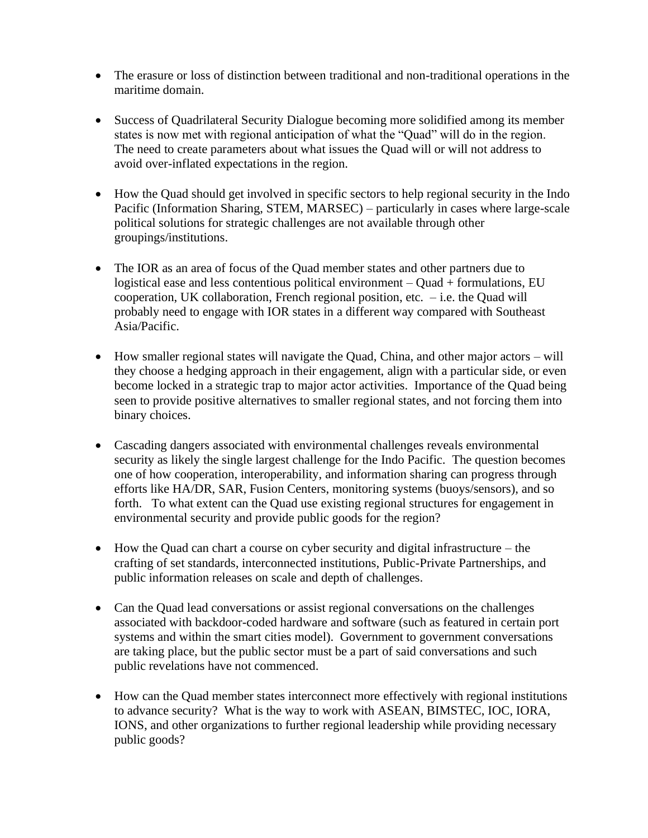- The erasure or loss of distinction between traditional and non-traditional operations in the maritime domain.
- Success of Quadrilateral Security Dialogue becoming more solidified among its member states is now met with regional anticipation of what the "Quad" will do in the region. The need to create parameters about what issues the Quad will or will not address to avoid over-inflated expectations in the region.
- How the Quad should get involved in specific sectors to help regional security in the Indo Pacific (Information Sharing, STEM, MARSEC) – particularly in cases where large-scale political solutions for strategic challenges are not available through other groupings/institutions.
- The IOR as an area of focus of the Quad member states and other partners due to logistical ease and less contentious political environment – Quad + formulations, EU cooperation, UK collaboration, French regional position, etc.  $-$  i.e. the Quad will probably need to engage with IOR states in a different way compared with Southeast Asia/Pacific.
- How smaller regional states will navigate the Quad, China, and other major actors will they choose a hedging approach in their engagement, align with a particular side, or even become locked in a strategic trap to major actor activities. Importance of the Quad being seen to provide positive alternatives to smaller regional states, and not forcing them into binary choices.
- Cascading dangers associated with environmental challenges reveals environmental security as likely the single largest challenge for the Indo Pacific. The question becomes one of how cooperation, interoperability, and information sharing can progress through efforts like HA/DR, SAR, Fusion Centers, monitoring systems (buoys/sensors), and so forth. To what extent can the Quad use existing regional structures for engagement in environmental security and provide public goods for the region?
- How the Quad can chart a course on cyber security and digital infrastructure the crafting of set standards, interconnected institutions, Public-Private Partnerships, and public information releases on scale and depth of challenges.
- Can the Quad lead conversations or assist regional conversations on the challenges associated with backdoor-coded hardware and software (such as featured in certain port systems and within the smart cities model). Government to government conversations are taking place, but the public sector must be a part of said conversations and such public revelations have not commenced.
- How can the Quad member states interconnect more effectively with regional institutions to advance security? What is the way to work with ASEAN, BIMSTEC, IOC, IORA, IONS, and other organizations to further regional leadership while providing necessary public goods?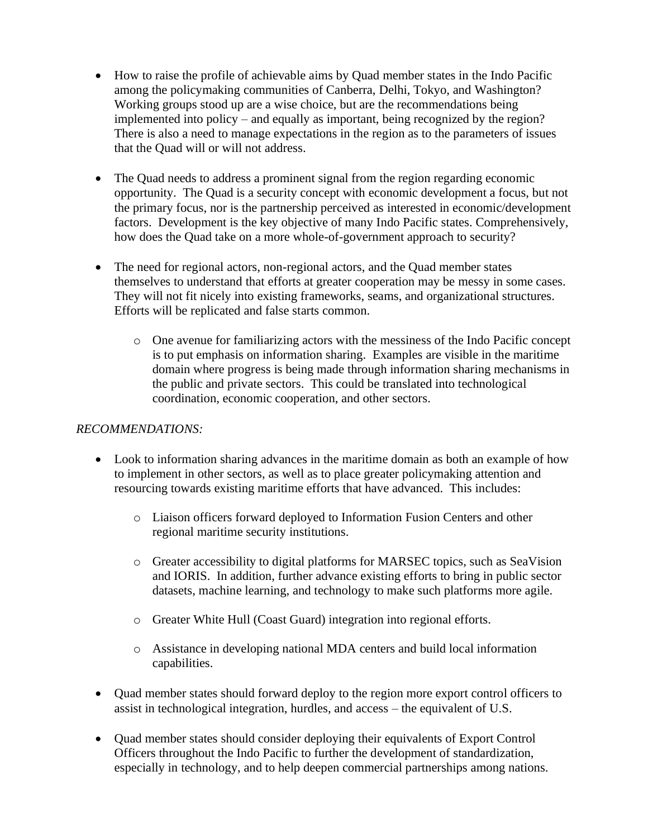- How to raise the profile of achievable aims by Quad member states in the Indo Pacific among the policymaking communities of Canberra, Delhi, Tokyo, and Washington? Working groups stood up are a wise choice, but are the recommendations being implemented into policy – and equally as important, being recognized by the region? There is also a need to manage expectations in the region as to the parameters of issues that the Quad will or will not address.
- The Quad needs to address a prominent signal from the region regarding economic opportunity. The Quad is a security concept with economic development a focus, but not the primary focus, nor is the partnership perceived as interested in economic/development factors. Development is the key objective of many Indo Pacific states. Comprehensively, how does the Quad take on a more whole-of-government approach to security?
- The need for regional actors, non-regional actors, and the Quad member states themselves to understand that efforts at greater cooperation may be messy in some cases. They will not fit nicely into existing frameworks, seams, and organizational structures. Efforts will be replicated and false starts common.
	- o One avenue for familiarizing actors with the messiness of the Indo Pacific concept is to put emphasis on information sharing. Examples are visible in the maritime domain where progress is being made through information sharing mechanisms in the public and private sectors. This could be translated into technological coordination, economic cooperation, and other sectors.

# *RECOMMENDATIONS:*

- Look to information sharing advances in the maritime domain as both an example of how to implement in other sectors, as well as to place greater policymaking attention and resourcing towards existing maritime efforts that have advanced. This includes:
	- o Liaison officers forward deployed to Information Fusion Centers and other regional maritime security institutions.
	- o Greater accessibility to digital platforms for MARSEC topics, such as SeaVision and IORIS. In addition, further advance existing efforts to bring in public sector datasets, machine learning, and technology to make such platforms more agile.
	- o Greater White Hull (Coast Guard) integration into regional efforts.
	- o Assistance in developing national MDA centers and build local information capabilities.
- Quad member states should forward deploy to the region more export control officers to assist in technological integration, hurdles, and access – the equivalent of U.S.
- Quad member states should consider deploying their equivalents of Export Control Officers throughout the Indo Pacific to further the development of standardization, especially in technology, and to help deepen commercial partnerships among nations.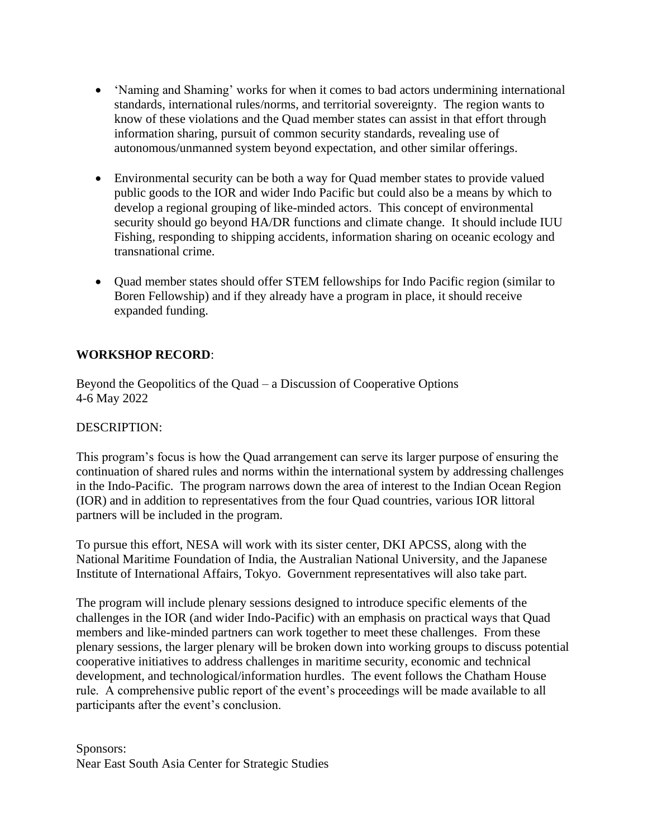- 'Naming and Shaming' works for when it comes to bad actors undermining international standards, international rules/norms, and territorial sovereignty. The region wants to know of these violations and the Quad member states can assist in that effort through information sharing, pursuit of common security standards, revealing use of autonomous/unmanned system beyond expectation, and other similar offerings.
- Environmental security can be both a way for Quad member states to provide valued public goods to the IOR and wider Indo Pacific but could also be a means by which to develop a regional grouping of like-minded actors. This concept of environmental security should go beyond HA/DR functions and climate change. It should include IUU Fishing, responding to shipping accidents, information sharing on oceanic ecology and transnational crime.
- Quad member states should offer STEM fellowships for Indo Pacific region (similar to Boren Fellowship) and if they already have a program in place, it should receive expanded funding.

# **WORKSHOP RECORD**:

Beyond the Geopolitics of the Quad – a Discussion of Cooperative Options 4-6 May 2022

# DESCRIPTION:

This program's focus is how the Quad arrangement can serve its larger purpose of ensuring the continuation of shared rules and norms within the international system by addressing challenges in the Indo-Pacific. The program narrows down the area of interest to the Indian Ocean Region (IOR) and in addition to representatives from the four Quad countries, various IOR littoral partners will be included in the program.

To pursue this effort, NESA will work with its sister center, DKI APCSS, along with the National Maritime Foundation of India, the Australian National University, and the Japanese Institute of International Affairs, Tokyo. Government representatives will also take part.

The program will include plenary sessions designed to introduce specific elements of the challenges in the IOR (and wider Indo-Pacific) with an emphasis on practical ways that Quad members and like-minded partners can work together to meet these challenges. From these plenary sessions, the larger plenary will be broken down into working groups to discuss potential cooperative initiatives to address challenges in maritime security, economic and technical development, and technological/information hurdles. The event follows the Chatham House rule. A comprehensive public report of the event's proceedings will be made available to all participants after the event's conclusion.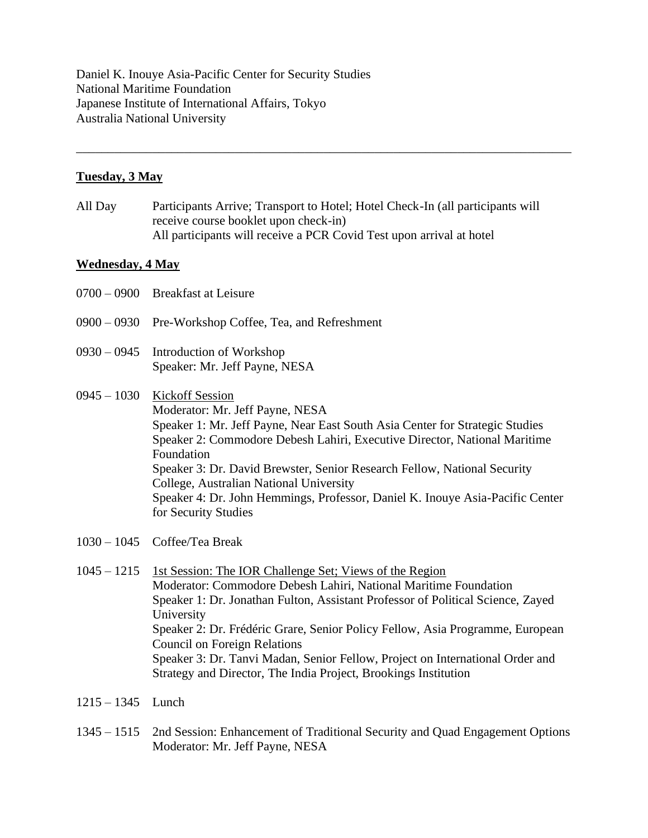Daniel K. Inouye Asia-Pacific Center for Security Studies National Maritime Foundation Japanese Institute of International Affairs, Tokyo Australia National University

#### **Tuesday, 3 May**

All Day Participants Arrive; Transport to Hotel; Hotel Check-In (all participants will receive course booklet upon check-in) All participants will receive a PCR Covid Test upon arrival at hotel

\_\_\_\_\_\_\_\_\_\_\_\_\_\_\_\_\_\_\_\_\_\_\_\_\_\_\_\_\_\_\_\_\_\_\_\_\_\_\_\_\_\_\_\_\_\_\_\_\_\_\_\_\_\_\_\_\_\_\_\_\_\_\_\_\_\_\_\_\_\_\_\_\_\_\_\_\_\_

#### **Wednesday, 4 May**

- 0700 0900 Breakfast at Leisure
- 0900 0930 Pre-Workshop Coffee, Tea, and Refreshment
- 0930 0945 Introduction of Workshop Speaker: Mr. Jeff Payne, NESA
- 0945 1030 Kickoff Session Moderator: Mr. Jeff Payne, NESA Speaker 1: Mr. Jeff Payne, Near East South Asia Center for Strategic Studies Speaker 2: Commodore Debesh Lahiri, Executive Director, National Maritime Foundation Speaker 3: Dr. David Brewster, Senior Research Fellow, National Security College, Australian National University Speaker 4: Dr. John Hemmings, Professor, Daniel K. Inouye Asia-Pacific Center for Security Studies
- 1030 1045 Coffee/Tea Break
- 1045 1215 1st Session: The IOR Challenge Set; Views of the Region Moderator: Commodore Debesh Lahiri, National Maritime Foundation Speaker 1: Dr. Jonathan Fulton, Assistant Professor of Political Science, Zayed University Speaker 2: Dr. Frédéric Grare, Senior Policy Fellow, Asia Programme, European Council on Foreign Relations Speaker 3: Dr. Tanvi Madan, Senior Fellow, Project on International Order and Strategy and Director, The India Project, Brookings Institution
- 1215 1345 Lunch
- 1345 1515 2nd Session: Enhancement of Traditional Security and Quad Engagement Options Moderator: Mr. Jeff Payne, NESA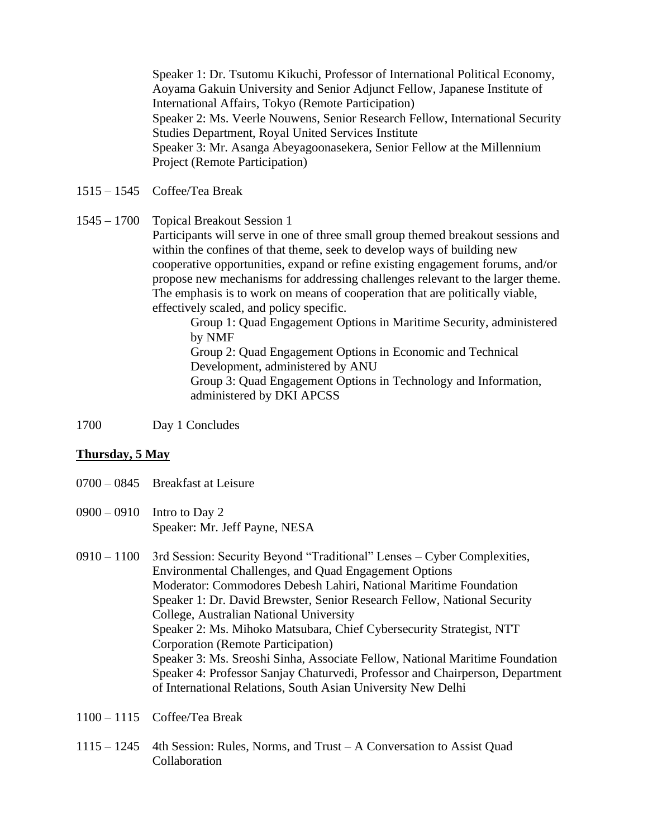Speaker 1: Dr. Tsutomu Kikuchi, Professor of International Political Economy, Aoyama Gakuin University and Senior Adjunct Fellow, Japanese Institute of International Affairs, Tokyo (Remote Participation) Speaker 2: Ms. Veerle Nouwens, Senior Research Fellow, International Security Studies Department, Royal United Services Institute Speaker 3: Mr. Asanga Abeyagoonasekera, Senior Fellow at the Millennium Project (Remote Participation)

- 1515 1545 Coffee/Tea Break
- 1545 1700 Topical Breakout Session 1

Participants will serve in one of three small group themed breakout sessions and within the confines of that theme, seek to develop ways of building new cooperative opportunities, expand or refine existing engagement forums, and/or propose new mechanisms for addressing challenges relevant to the larger theme. The emphasis is to work on means of cooperation that are politically viable, effectively scaled, and policy specific.

Group 1: Quad Engagement Options in Maritime Security, administered by NMF Group 2: Quad Engagement Options in Economic and Technical Development, administered by ANU Group 3: Quad Engagement Options in Technology and Information, administered by DKI APCSS

1700 Day 1 Concludes

#### **Thursday, 5 May**

- 0700 0845 Breakfast at Leisure
- 0900 0910 Intro to Day 2 Speaker: Mr. Jeff Payne, NESA
- 0910 1100 3rd Session: Security Beyond "Traditional" Lenses Cyber Complexities, Environmental Challenges, and Quad Engagement Options Moderator: Commodores Debesh Lahiri, National Maritime Foundation Speaker 1: Dr. David Brewster, Senior Research Fellow, National Security College, Australian National University Speaker 2: Ms. Mihoko Matsubara, Chief Cybersecurity Strategist, NTT Corporation (Remote Participation) Speaker 3: Ms. Sreoshi Sinha, Associate Fellow, National Maritime Foundation Speaker 4: Professor Sanjay Chaturvedi, Professor and Chairperson, Department of International Relations, South Asian University New Delhi
- 1100 1115 Coffee/Tea Break
- 1115 1245 4th Session: Rules, Norms, and Trust A Conversation to Assist Quad Collaboration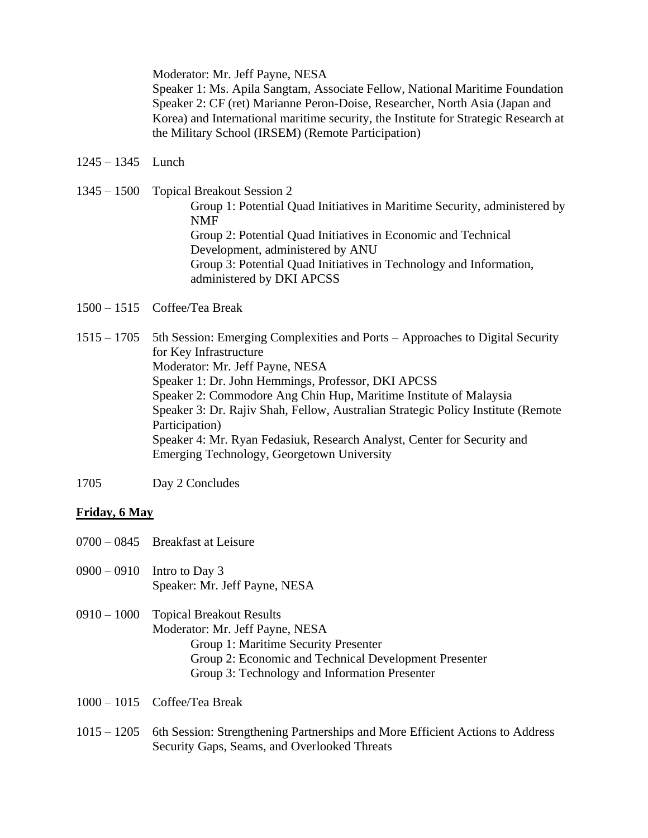Moderator: Mr. Jeff Payne, NESA

Speaker 1: Ms. Apila Sangtam, Associate Fellow, National Maritime Foundation Speaker 2: CF (ret) Marianne Peron-Doise, Researcher, North Asia (Japan and Korea) and International maritime security, the Institute for Strategic Research at the Military School (IRSEM) (Remote Participation)

1245 – 1345 Lunch

1345 – 1500 Topical Breakout Session 2 Group 1: Potential Quad Initiatives in Maritime Security, administered by NMF Group 2: Potential Quad Initiatives in Economic and Technical Development, administered by ANU Group 3: Potential Quad Initiatives in Technology and Information, administered by DKI APCSS

- 1500 1515 Coffee/Tea Break
- 1515 1705 5th Session: Emerging Complexities and Ports Approaches to Digital Security for Key Infrastructure Moderator: Mr. Jeff Payne, NESA Speaker 1: Dr. John Hemmings, Professor, DKI APCSS Speaker 2: Commodore Ang Chin Hup, Maritime Institute of Malaysia Speaker 3: Dr. Rajiv Shah, Fellow, Australian Strategic Policy Institute (Remote Participation) Speaker 4: Mr. Ryan Fedasiuk, Research Analyst, Center for Security and Emerging Technology, Georgetown University
- 1705 Day 2 Concludes

# **Friday, 6 May**

- 0700 0845 Breakfast at Leisure
- 0900 0910 Intro to Day 3 Speaker: Mr. Jeff Payne, NESA

0910 – 1000 Topical Breakout Results Moderator: Mr. Jeff Payne, NESA Group 1: Maritime Security Presenter Group 2: Economic and Technical Development Presenter Group 3: Technology and Information Presenter

- 1000 1015 Coffee/Tea Break
- 1015 1205 6th Session: Strengthening Partnerships and More Efficient Actions to Address Security Gaps, Seams, and Overlooked Threats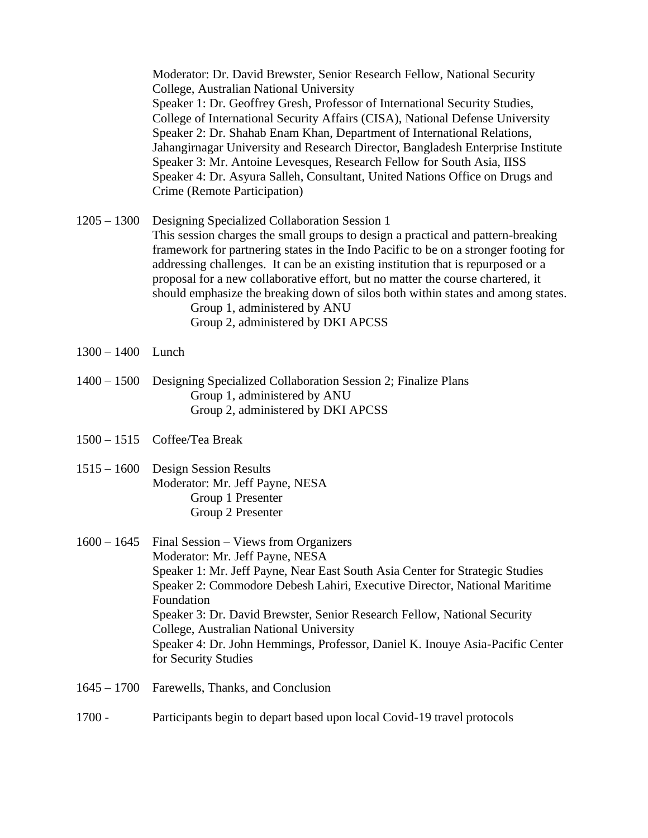Moderator: Dr. David Brewster, Senior Research Fellow, National Security College, Australian National University Speaker 1: Dr. Geoffrey Gresh, Professor of International Security Studies, College of International Security Affairs (CISA), National Defense University Speaker 2: Dr. Shahab Enam Khan, Department of International Relations, Jahangirnagar University and Research Director, Bangladesh Enterprise Institute Speaker 3: Mr. Antoine Levesques, Research Fellow for South Asia, IISS Speaker 4: Dr. Asyura Salleh, Consultant, United Nations Office on Drugs and Crime (Remote Participation)

1205 – 1300 Designing Specialized Collaboration Session 1 This session charges the small groups to design a practical and pattern-breaking framework for partnering states in the Indo Pacific to be on a stronger footing for addressing challenges. It can be an existing institution that is repurposed or a proposal for a new collaborative effort, but no matter the course chartered, it should emphasize the breaking down of silos both within states and among states. Group 1, administered by ANU Group 2, administered by DKI APCSS

- 1300 1400 Lunch
- 1400 1500 Designing Specialized Collaboration Session 2; Finalize Plans Group 1, administered by ANU Group 2, administered by DKI APCSS
- 1500 1515 Coffee/Tea Break
- 1515 1600 Design Session Results Moderator: Mr. Jeff Payne, NESA Group 1 Presenter Group 2 Presenter
- 1600 1645 Final Session Views from Organizers Moderator: Mr. Jeff Payne, NESA Speaker 1: Mr. Jeff Payne, Near East South Asia Center for Strategic Studies Speaker 2: Commodore Debesh Lahiri, Executive Director, National Maritime Foundation Speaker 3: Dr. David Brewster, Senior Research Fellow, National Security College, Australian National University Speaker 4: Dr. John Hemmings, Professor, Daniel K. Inouye Asia-Pacific Center for Security Studies
- 1645 1700 Farewells, Thanks, and Conclusion
- 1700 Participants begin to depart based upon local Covid-19 travel protocols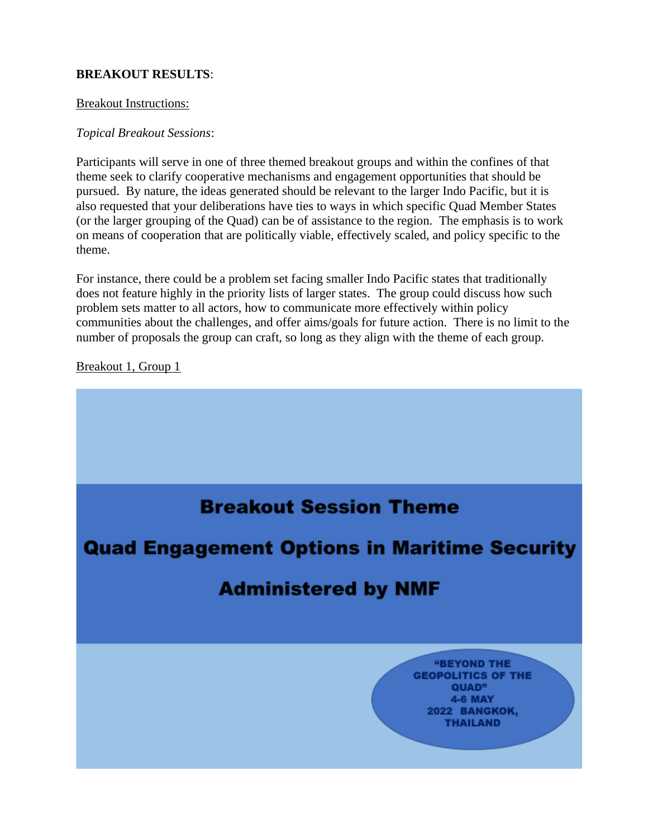### **BREAKOUT RESULTS**:

#### Breakout Instructions:

#### *Topical Breakout Sessions*:

Participants will serve in one of three themed breakout groups and within the confines of that theme seek to clarify cooperative mechanisms and engagement opportunities that should be pursued. By nature, the ideas generated should be relevant to the larger Indo Pacific, but it is also requested that your deliberations have ties to ways in which specific Quad Member States (or the larger grouping of the Quad) can be of assistance to the region. The emphasis is to work on means of cooperation that are politically viable, effectively scaled, and policy specific to the theme.

For instance, there could be a problem set facing smaller Indo Pacific states that traditionally does not feature highly in the priority lists of larger states. The group could discuss how such problem sets matter to all actors, how to communicate more effectively within policy communities about the challenges, and offer aims/goals for future action. There is no limit to the number of proposals the group can craft, so long as they align with the theme of each group.

Breakout 1, Group 1

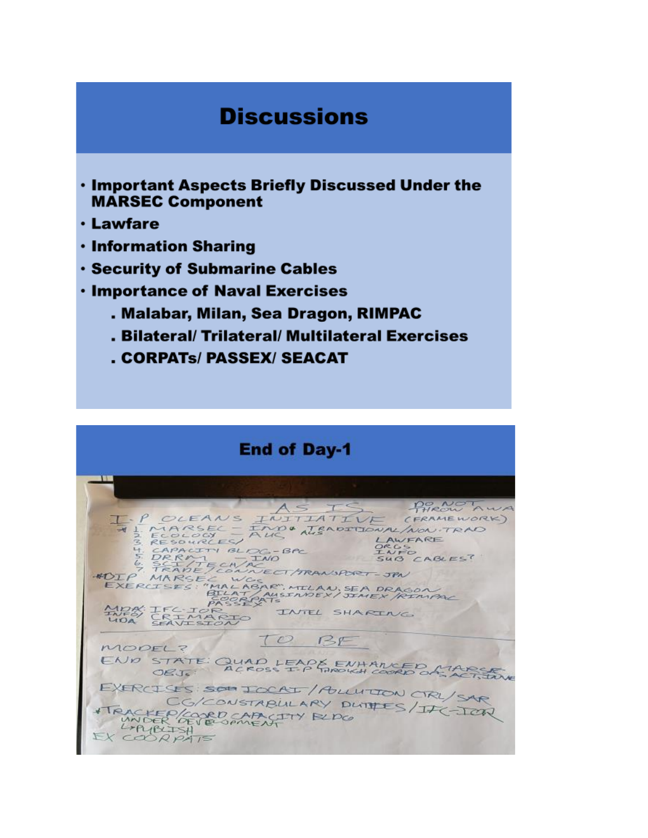# **Discussions**

- . Important Aspects Briefly Discussed Under the **MARSEC Component**
- **· Lawfare**
- **· Information Sharing**
- **· Security of Submarine Cables**
- **· Importance of Naval Exercises** 
	- . Malabar, Milan, Sea Dragon, RIMPAC
	- . Bilateral/ Trilateral/ Multilateral Exercises
	- . CORPATS/PASSEX/SEACAT

| <b>End of Day-1</b>                                                                                                                                                                                                                                     |
|---------------------------------------------------------------------------------------------------------------------------------------------------------------------------------------------------------------------------------------------------------|
| PHROW AWA<br>ASIS                                                                                                                                                                                                                                       |
| F.P OLEANS INITIATIVE<br>(FRAMEWORK)<br>VI MARSEL - IMPO TRADITIONAL/NON-TRAD<br>ALIC<br>2 ECOLOGY<br>LAWFARE<br>3 RESOURCES<br>ORGS<br>4. CAPACITY BLDG-BPC<br>INFO<br>$5. DRRM - TMO$<br>SUB CABLES'<br>6. SCI/TECH/AC<br>TRADE/CONNECT/TRANSPORT-JPN |
| ADIP MARSEL WGC<br>EXERCISES: "MALABAR", MILLAN, SEA DRAGON<br>BILAT/AUSINDEX/JIMEX/RINPAL<br>PASSE CATS<br>MOR: IFC IOR<br>INTEL SHARING<br>INFO<br>CRIMARIO<br>UDA SFAVISION                                                                          |
| TO BE<br>MODEL?                                                                                                                                                                                                                                         |
| END STATE QUAD LEAPS ENHANCED ATARCTON                                                                                                                                                                                                                  |
| EXERCISES SON ICCAT/ALLUTION CIRL/SAR<br>CG/CONSTABULARY DUTTES/ITC-ICAL<br>TRACKEP/COORD CAPACITY RUDO<br>LAPUBLISH<br>EXCORPAIS                                                                                                                       |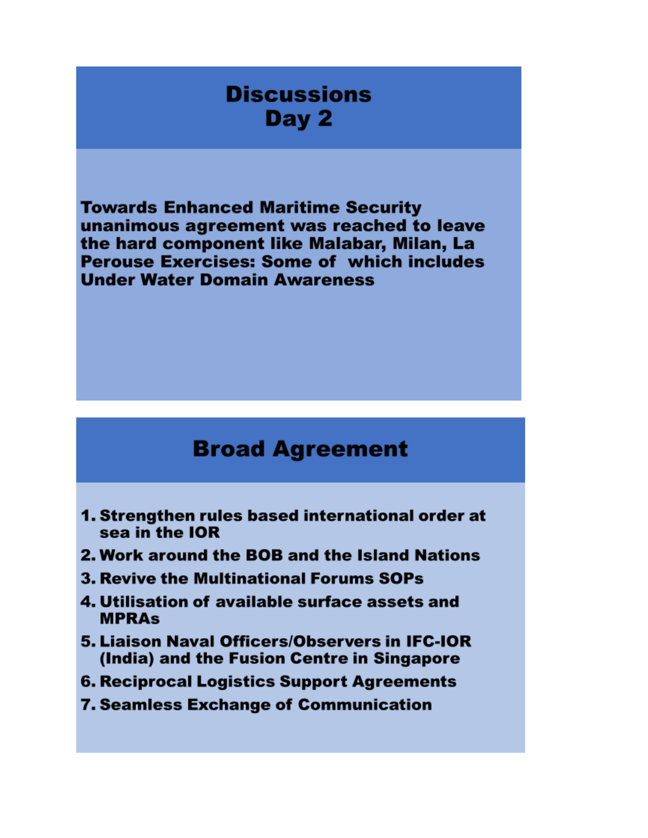# **Discussions** Day 2

**Towards Enhanced Maritime Security** unanimous agreement was reached to leave the hard component like Malabar, Milan, La **Perouse Exercises: Some of which includes Under Water Domain Awareness** 

# **Broad Agreement**

- 1. Strengthen rules based international order at sea in the IOR
- 2. Work around the BOB and the Island Nations
- **3. Revive the Multinational Forums SOPs**
- 4. Utilisation of available surface assets and **MPRAs**
- 5. Liaison Naval Officers/Observers in IFC-IOR (India) and the Fusion Centre in Singapore
- **6. Reciprocal Logistics Support Agreements**
- **7. Seamless Exchange of Communication**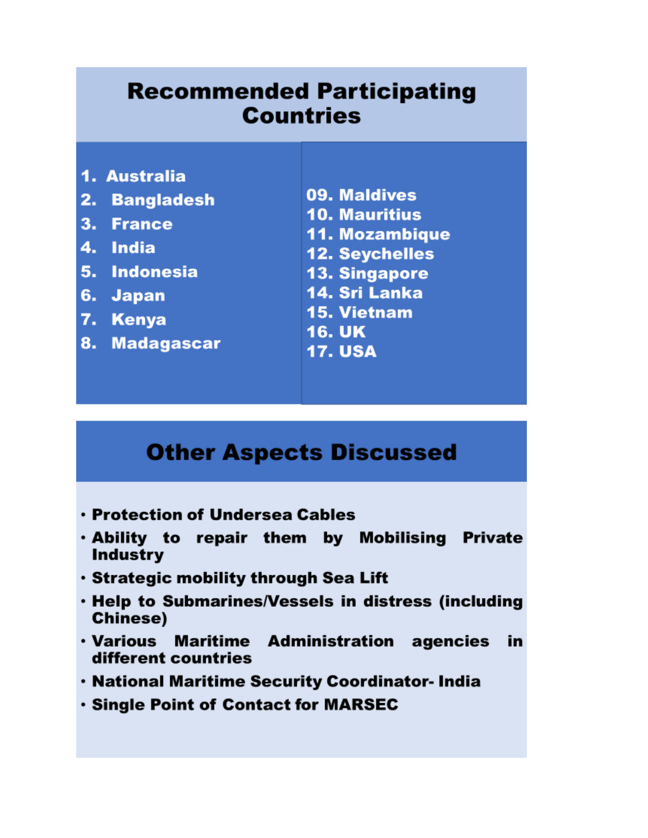# **Recommended Participating Countries**

- 1. Australia
- 2. Bangladesh
- 3. France
- 4. India
- 5. Indonesia
- 6. Japan
- 7. Kenya
- 8. Madagascar
- 09. Maldives **10. Mauritius 11. Mozambique 12. Seychelles**
- **13. Singapore**
- 14. Sri Lanka
- 15. Vietnam
- **16. UK**
- **17. USA**

# **Other Aspects Discussed**

- **· Protection of Undersea Cables**
- . Ability to repair them by Mobilising Private **Industry**
- · Strategic mobility through Sea Lift
- . Help to Submarines/Vessels in distress (including **Chinese)**
- **Maritime Administration agencies** • Various in different countries
- . National Maritime Security Coordinator- India
- . Single Point of Contact for MARSEC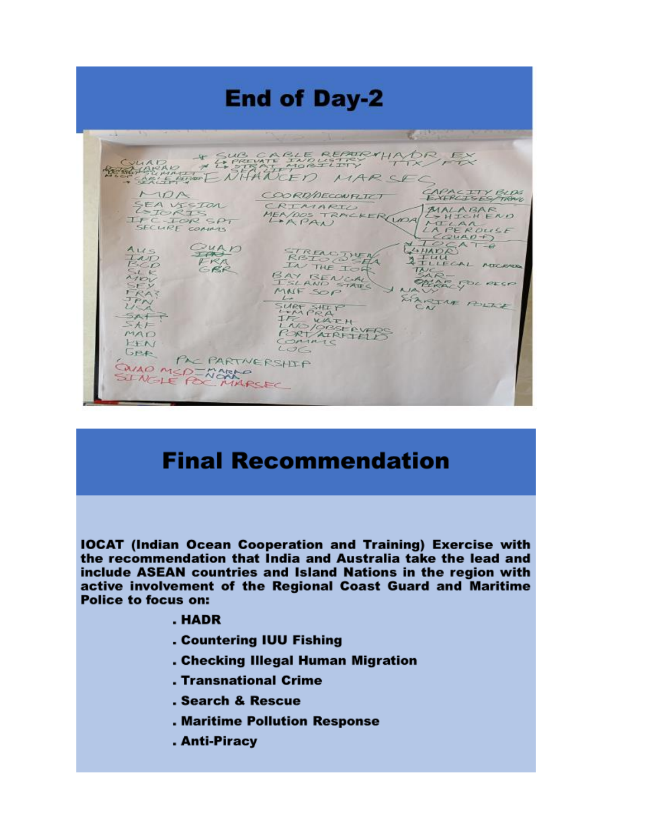

# **Final Recommendation**

**IOCAT (Indian Ocean Cooperation and Training) Exercise with** the recommendation that India and Australia take the lead and include ASEAN countries and Island Nations in the region with active involvement of the Regional Coast Guard and Maritime **Police to focus on:** 

#### . HADR

- . Countering IUU Fishing
- . Checking Illegal Human Migration
- . Transnational Crime
- . Search & Rescue
- . Maritime Pollution Response
- . Anti-Piracy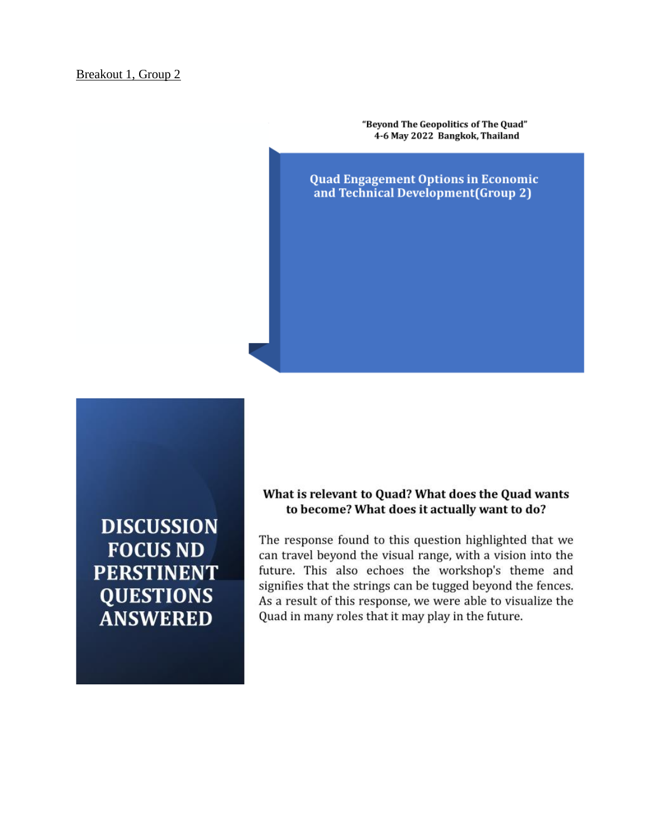"Beyond The Geopolitics of The Quad" 4-6 May 2022 Bangkok, Thailand

**Quad Engagement Options in Economic** and Technical Development (Group 2)

**DISCUSSION FOCUS ND PERSTINENT QUESTIONS ANSWERED** 

#### What is relevant to Quad? What does the Quad wants to become? What does it actually want to do?

The response found to this question highlighted that we can travel beyond the visual range, with a vision into the future. This also echoes the workshop's theme and signifies that the strings can be tugged beyond the fences. As a result of this response, we were able to visualize the Quad in many roles that it may play in the future.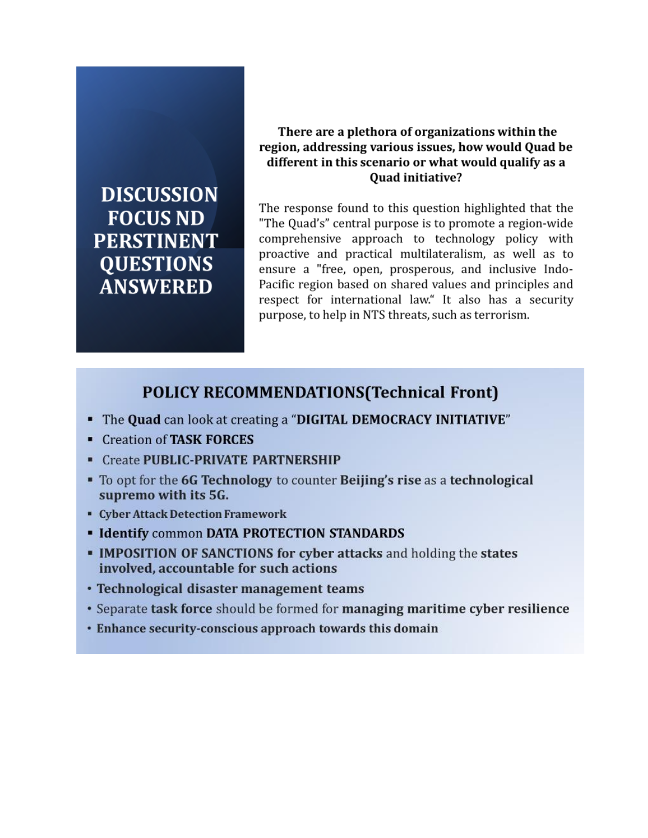# **DISCUSSION FOCUS ND PERSTINENT QUESTIONS ANSWERED**

# There are a plethora of organizations within the region, addressing various issues, how would Quad be different in this scenario or what would qualify as a Quad initiative?

The response found to this question highlighted that the "The Quad's" central purpose is to promote a region-wide comprehensive approach to technology policy with proactive and practical multilateralism, as well as to ensure a "free, open, prosperous, and inclusive Indo-Pacific region based on shared values and principles and respect for international law." It also has a security purpose, to help in NTS threats, such as terrorism.

# **POLICY RECOMMENDATIONS (Technical Front)**

- The Quad can look at creating a "DIGITAL DEMOCRACY INITIATIVE"
- Creation of TASK FORCES
- Create PUBLIC-PRIVATE PARTNERSHIP
- To opt for the 6G Technology to counter Beijing's rise as a technological supremo with its 5G.
- Cyber Attack Detection Framework
- **Identify common DATA PROTECTION STANDARDS**
- IMPOSITION OF SANCTIONS for cyber attacks and holding the states involved, accountable for such actions
- Technological disaster management teams
- Separate task force should be formed for managing maritime cyber resilience
- Enhance security-conscious approach towards this domain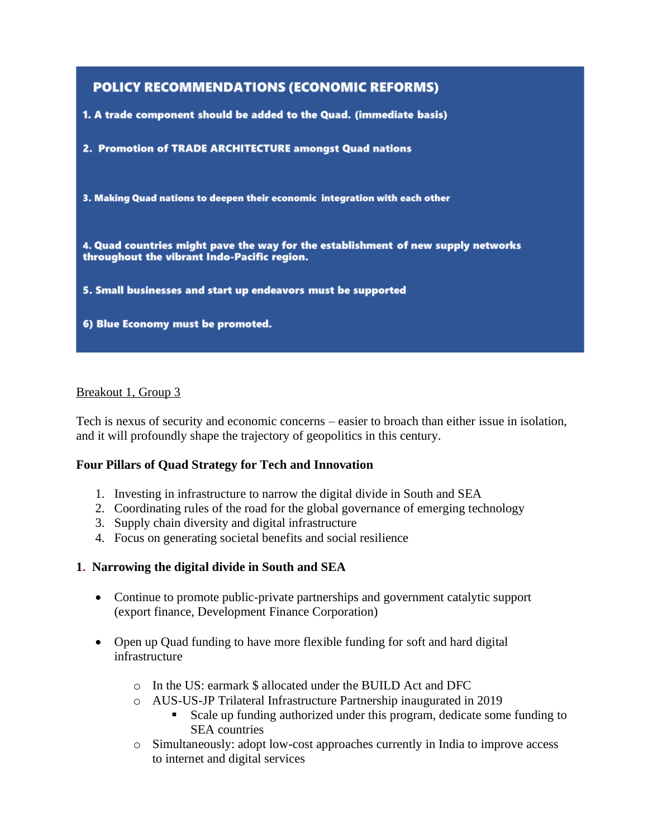# **POLICY RECOMMENDATIONS (ECONOMIC REFORMS)** 1. A trade component should be added to the Quad. (immediate basis) 2. Promotion of TRADE ARCHITECTURE amongst Quad nations 3. Making Quad nations to deepen their economic integration with each other 4. Quad countries might pave the way for the establishment of new supply networks throughout the vibrant Indo-Pacific region. 5. Small businesses and start up endeavors must be supported 6) Blue Economy must be promoted.

# Breakout 1, Group 3

Tech is nexus of security and economic concerns – easier to broach than either issue in isolation, and it will profoundly shape the trajectory of geopolitics in this century.

# **Four Pillars of Quad Strategy for Tech and Innovation**

- 1. Investing in infrastructure to narrow the digital divide in South and SEA
- 2. Coordinating rules of the road for the global governance of emerging technology
- 3. Supply chain diversity and digital infrastructure
- 4. Focus on generating societal benefits and social resilience

# **1. Narrowing the digital divide in South and SEA**

- Continue to promote public-private partnerships and government catalytic support (export finance, Development Finance Corporation)
- Open up Quad funding to have more flexible funding for soft and hard digital infrastructure
	- o In the US: earmark \$ allocated under the BUILD Act and DFC
	- o AUS-US-JP Trilateral Infrastructure Partnership inaugurated in 2019
		- Scale up funding authorized under this program, dedicate some funding to SEA countries
	- o Simultaneously: adopt low-cost approaches currently in India to improve access to internet and digital services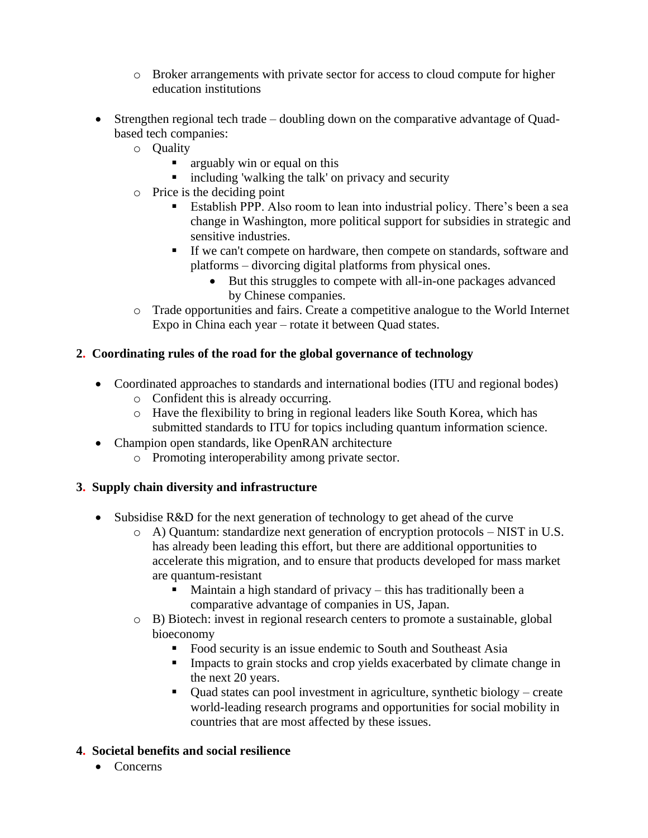- o Broker arrangements with private sector for access to cloud compute for higher education institutions
- Strengthen regional tech trade doubling down on the comparative advantage of Quadbased tech companies:
	- o Quality
		- **E** arguably win or equal on this
		- including 'walking the talk' on privacy and security
	- o Price is the deciding point
		- **Establish PPP.** Also room to lean into industrial policy. There's been a sea change in Washington, more political support for subsidies in strategic and sensitive industries.
		- **If we can't compete on hardware, then compete on standards, software and** platforms – divorcing digital platforms from physical ones.
			- But this struggles to compete with all-in-one packages advanced by Chinese companies.
	- o Trade opportunities and fairs. Create a competitive analogue to the World Internet Expo in China each year – rotate it between Quad states.

# **2. Coordinating rules of the road for the global governance of technology**

- Coordinated approaches to standards and international bodies (ITU and regional bodes) o Confident this is already occurring.
	- o Have the flexibility to bring in regional leaders like South Korea, which has
	- submitted standards to ITU for topics including quantum information science.
- Champion open standards, like OpenRAN architecture
	- o Promoting interoperability among private sector.

# **3. Supply chain diversity and infrastructure**

- Subsidise R&D for the next generation of technology to get ahead of the curve
	- o A) Quantum: standardize next generation of encryption protocols NIST in U.S. has already been leading this effort, but there are additional opportunities to accelerate this migration, and to ensure that products developed for mass market are quantum-resistant
		- $\blacksquare$  Maintain a high standard of privacy this has traditionally been a comparative advantage of companies in US, Japan.
	- o B) Biotech: invest in regional research centers to promote a sustainable, global bioeconomy
		- Food security is an issue endemic to South and Southeast Asia
		- **IMPACTE 1.5** Impacts to grain stocks and crop yields exacerbated by climate change in the next 20 years.
		- Quad states can pool investment in agriculture, synthetic biology create world-leading research programs and opportunities for social mobility in countries that are most affected by these issues.

# **4. Societal benefits and social resilience**

• Concerns